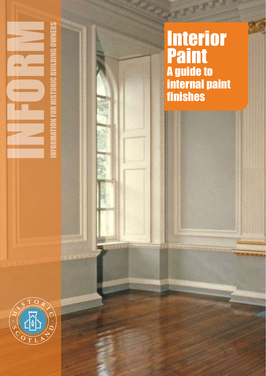



**Sall**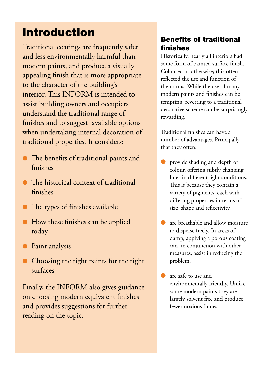# Introduction

Traditional coatings are frequently safer and less environmentally harmful than modern paints, and produce a visually appealing finish that is more appropriate to the character of the building's interior. This INFORM is intended to assist building owners and occupiers understand the traditional range of finishes and to suggest available options when undertaking internal decoration of traditional properties. It considers:

- l The benefits of traditional paints and finishes
- l The historical context of traditional finishes
- The types of finishes available
- $\bullet$  How these finishes can be applied today
- **Paint analysis**
- **•** Choosing the right paints for the right surfaces

Finally, the INFORM also gives guidance on choosing modern equivalent finishes and provides suggestions for further reading on the topic.

# Benefits of traditional finishes

Historically, nearly all interiors had some form of painted surface finish. Coloured or otherwise; this often reflected the use and function of the rooms. While the use of many modern paints and finishes can be tempting, reverting to a traditional decorative scheme can be surprisingly rewarding.

Traditional finishes can have a number of advantages. Principally that they often:

- provide shading and depth of colour, offering subtly changing hues in different light conditions. This is because they contain a variety of pigments, each with differing properties in terms of size, shape and reflectivity.
- are breathable and allow moisture to disperse freely. In areas of damp, applying a porous coating can, in conjunction with other measures, assist in reducing the problem.
- **l** are safe to use and environmentally friendly. Unlike some modern paints they are largely solvent free and produce fewer noxious fumes.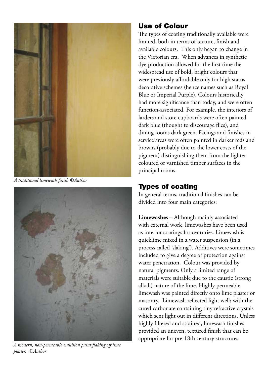

*A traditional limewash finish ©Author*



*A modern, non-permeable emulsion paint flaking off lime plaster. ©Author*

## Use of Colour

The types of coating traditionally available were limited, both in terms of texture, finish and available colours. This only began to change in the Victorian era. When advances in synthetic dye production allowed for the first time the widespread use of bold, bright colours that were previously affordable only for high status decorative schemes (hence names such as Royal Blue or Imperial Purple). Colours historically had more significance than today, and were often function-associated. For example, the interiors of larders and store cupboards were often painted dark blue (thought to discourage flies), and dining rooms dark green. Facings and finishes in service areas were often painted in darker reds and browns (probably due to the lower costs of the pigment) distinguishing them from the lighter coloured or varnished timber surfaces in the principal rooms.

# Types of coating

In general terms, traditional finishes can be divided into four main categories:

**Limewashes** – Although mainly associated with external work, limewashes have been used as interior coatings for centuries. Limewash is quicklime mixed in a water suspension (in a process called 'slaking'). Additives were sometimes included to give a degree of protection against water penetration. Colour was provided by natural pigments. Only a limited range of materials were suitable due to the caustic (strong alkali) nature of the lime. Highly permeable, limewash was painted directly onto lime plaster or masonry. Limewash reflected light well; with the cured carbonate containing tiny refractive crystals which sent light out in different directions. Unless highly filtered and strained, limewash finishes provided an uneven, textured finish that can be appropriate for pre-18th century structures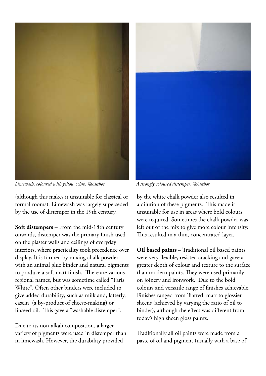

*Limewash, coloured with yellow ochre. ©Author A strongly coloured distemper. ©Author*

(although this makes it unsuitable for classical or formal rooms). Limewash was largely superseded by the use of distemper in the 19th century.

**Soft distempers** – From the mid-18th century onwards, distemper was the primary finish used on the plaster walls and ceilings of everyday interiors, where practicality took precedence over display. It is formed by mixing chalk powder with an animal glue binder and natural pigments to produce a soft matt finish. There are various regional names, but was sometime called "Paris White". Often other binders were included to give added durability; such as milk and, latterly, casein, (a by-product of cheese-making) or linseed oil. This gave a "washable distemper".

Due to its non-alkali composition, a larger variety of pigments were used in distemper than in limewash. However, the durability provided



by the white chalk powder also resulted in a dilution of these pigments. This made it unsuitable for use in areas where bold colours were required. Sometimes the chalk powder was left out of the mix to give more colour intensity. This resulted in a thin, concentrated layer.

**Oil based paints** – Traditional oil based paints were very flexible, resisted cracking and gave a greater depth of colour and texture to the surface than modern paints. They were used primarily on joinery and ironwork. Due to the bold colours and versatile range of finishes achievable. Finishes ranged from 'flatted' matt to glossier sheens (achieved by varying the ratio of oil to binder), although the effect was different from today's high sheen gloss paints.

Traditionally all oil paints were made from a paste of oil and pigment (usually with a base of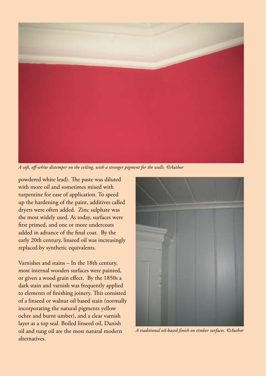

*A soft, off-white distemper on the ceiling, with a stronger pigment for the walls. ©Author*

powdered white lead). The paste was diluted with more oil and sometimes mixed with turpentine for ease of application. To speed up the hardening of the paint, additives called dryers were often added. Zinc sulphate was the most widely used. As today, surfaces were first primed, and one or more undercoats added in advance of the final coat. By the early 20th century, linseed oil was increasingly replaced by synthetic equivalents.

Varnishes and stains – In the 18th century, most internal wooden surfaces were painted, or given a wood grain effect. By the 1850s a dark stain and varnish was frequently applied to elements of finishing joinery. This consisted of a linseed or walnut oil based stain (normally incorporating the natural pigments yellow ochre and burnt umber), and a clear varnish layer as a top seal. Boiled linseed oil, Danish oil and tung oil are the most natural modern alternatives.



*A traditional oil-based finish on timber surfaces. ©Author*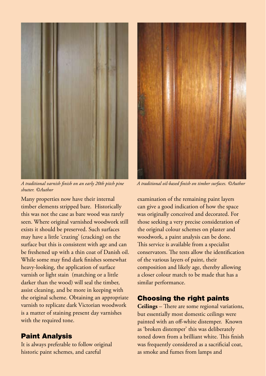

*A traditional varnish finish on an early 20th pitch pine A traditional oil-based finish on timber surfaces. ©Author shutter. ©Author*

Many properties now have their internal timber elements stripped bare. Historically this was not the case as bare wood was rarely seen. Where original varnished woodwork still exists it should be preserved. Such surfaces may have a little 'crazing' (cracking) on the surface but this is consistent with age and can be freshened up with a thin coat of Danish oil. While some may find dark finishes somewhat heavy-looking, the application of surface varnish or light stain (matching or a little darker than the wood) will seal the timber, assist cleaning, and be more in keeping with the original scheme. Obtaining an appropriate varnish to replicate dark Victorian woodwork is a matter of staining present day varnishes with the required tone.

#### Paint Analysis

It is always preferable to follow original historic paint schemes, and careful



examination of the remaining paint layers can give a good indication of how the space was originally conceived and decorated. For those seeking a very precise consideration of the original colour schemes on plaster and woodwork, a paint analysis can be done. This service is available from a specialist conservators. The tests allow the identification of the various layers of paint, their composition and likely age, thereby allowing a closer colour match to be made that has a similar performance.

#### Choosing the right paints

**Ceilings** – There are some regional variations, but essentially most domestic ceilings were painted with an off-white distemper. Known as 'broken distemper' this was deliberately toned down from a brilliant white. This finish was frequently considered as a sacrificial coat, as smoke and fumes from lamps and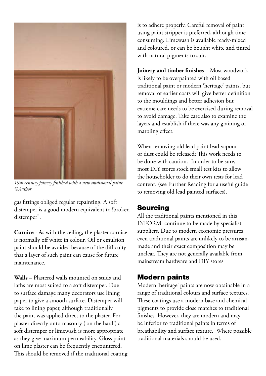

*19th century joinery finished with a new traditional paint. ©Author*

gas fittings obliged regular repainting. A soft distemper is a good modern equivalent to !broken distemper".

**Cornice** - As with the ceiling, the plaster cornice is normally off white in colour. Oil or emulsion paint should be avoided because of the difficulty that a layer of such paint can cause for future maintenance.

**Walls** – Plastered walls mounted on studs and laths are most suited to a soft distemper. Due to surface damage many decorators use lining paper to give a smooth surface. Distemper will take to lining paper, although traditionally the paint was applied direct to the plaster. For plaster directly onto masonry ('on the hard') a soft distemper or limewash is more appropriate as they give maximum permeability. Gloss paint on lime plaster can be frequently encountered. This should be removed if the traditional coating is to adhere properly. Careful removal of paint using paint stripper is preferred, although timeconsuming. Limewash is available ready-mixed and coloured, or can be bought white and tinted with natural pigments to suit.

**Joinery and timber finishes** – Most woodwork is likely to be overpainted with oil based traditional paint or modern 'heritage' paints, but removal of earlier coats will give better definition to the mouldings and better adhesion but extreme care needs to be exercised during removal to avoid damage. Take care also to examine the layers and establish if there was any graining or marbling effect.

When removing old lead paint lead vapour or dust could be released; This work needs to be done with caution. In order to be sure, most DIY stores stock small test kits to allow the householder to do their own tests for lead content. (see Further Reading for a useful guide to removing old lead painted surfaces).

#### Sourcing

All the traditional paints mentioned in this INFORM continue to be made by specialist suppliers. Due to modern economic pressures, even traditional paints are unlikely to be artisanmade and their exact composition may be unclear. They are not generally available from mainstream hardware and DIY stores

#### Modern paints

Modern 'heritage' paints are now obtainable in a range of traditional colours and surface textures. These coatings use a modern base and chemical pigments to provide close matches to traditional finishes. However, they are modern and may be inferior to traditional paints in terms of breathability and surface texture. Where possible traditional materials should be used.